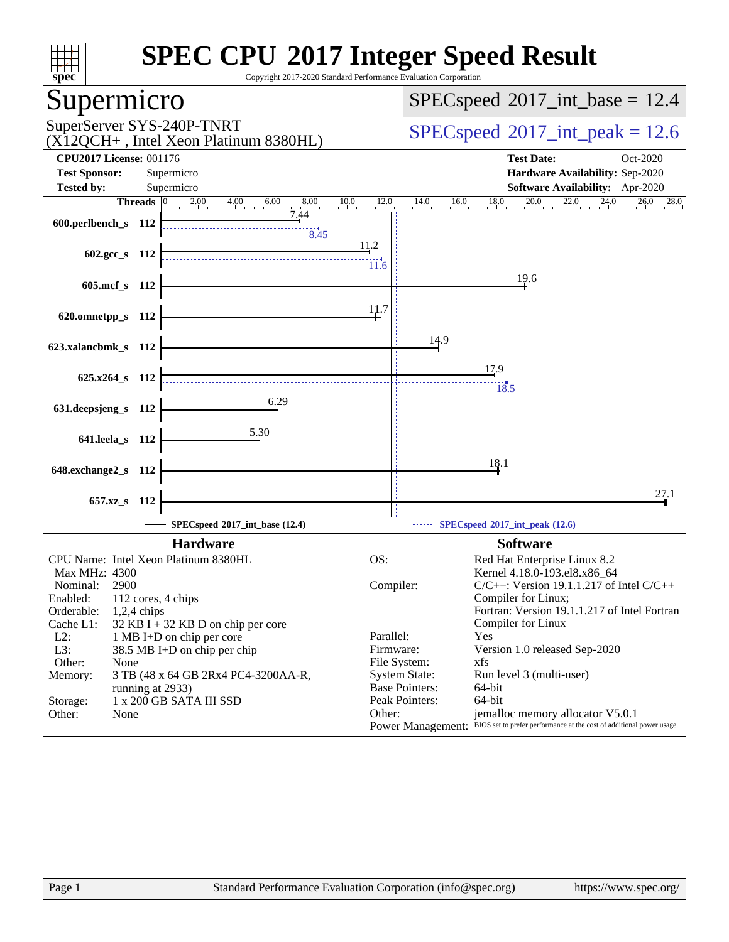| spec <sup>®</sup>                                                                   | <b>SPEC CPU®2017 Integer Speed Result</b><br>Copyright 2017-2020 Standard Performance Evaluation Corporation                          |
|-------------------------------------------------------------------------------------|---------------------------------------------------------------------------------------------------------------------------------------|
| Supermicro                                                                          | $SPEC speed^{\circ}2017\_int\_base = 12.4$                                                                                            |
| SuperServer SYS-240P-TNRT<br>$(X12QCH+$ , Intel Xeon Platinum 8380HL)               | $SPEC speed^{\circ}2017$ int peak = 12.6                                                                                              |
| <b>CPU2017 License: 001176</b>                                                      | <b>Test Date:</b><br>Oct-2020                                                                                                         |
| <b>Test Sponsor:</b><br>Supermicro                                                  | Hardware Availability: Sep-2020                                                                                                       |
| <b>Tested by:</b><br>Supermicro                                                     | Software Availability: Apr-2020                                                                                                       |
| <b>Threads</b> $\begin{bmatrix} 0 & 2.00 & 4.00 & 6.00 & 8.00 & 10.0 \end{bmatrix}$ | $^{20.0}$<br>$16.0$ $18.0$<br>22.0<br>$^{24.0}$<br>12.0<br>14.0<br>$26.0$ $28.0$                                                      |
| 7.44<br>600.perlbench_s 112                                                         |                                                                                                                                       |
| 8.45                                                                                |                                                                                                                                       |
| 602.gcc s $112$                                                                     | 11.2                                                                                                                                  |
|                                                                                     | 11.6                                                                                                                                  |
| 605.mcf s 112                                                                       | 19.6                                                                                                                                  |
|                                                                                     | 11.7                                                                                                                                  |
| 620.omnetpp_s 112                                                                   |                                                                                                                                       |
|                                                                                     | 14.9                                                                                                                                  |
| 623.xalancbmk_s 112                                                                 |                                                                                                                                       |
|                                                                                     | 17.9                                                                                                                                  |
| $625.x264 s$ 112                                                                    | $\frac{1}{18.5}$                                                                                                                      |
| 6.29                                                                                |                                                                                                                                       |
| 631.deepsjeng_s 112                                                                 |                                                                                                                                       |
| 5.30                                                                                |                                                                                                                                       |
| 641.leela_s 112                                                                     |                                                                                                                                       |
| 648.exchange2_s 112                                                                 | 18.1                                                                                                                                  |
|                                                                                     |                                                                                                                                       |
| 657.xz_s<br>-112                                                                    | 27.1                                                                                                                                  |
|                                                                                     |                                                                                                                                       |
| SPECspeed®2017_int_base (12.4)                                                      | $\cdots$ SPECspeed®2017_int_peak (12.6)                                                                                               |
| <b>Hardware</b>                                                                     | <b>Software</b>                                                                                                                       |
| CPU Name: Intel Xeon Platinum 8380HL                                                | Red Hat Enterprise Linux 8.2<br>OS:                                                                                                   |
| Max MHz: 4300                                                                       | Kernel 4.18.0-193.el8.x86_64                                                                                                          |
| Nominal:<br>2900<br>Enabled:<br>112 cores, 4 chips                                  | Compiler:<br>$C/C++$ : Version 19.1.1.217 of Intel $C/C++$<br>Compiler for Linux;                                                     |
| Orderable:<br>$1,2,4$ chips                                                         | Fortran: Version 19.1.1.217 of Intel Fortran                                                                                          |
| Cache L1:<br>32 KB I + 32 KB D on chip per core                                     | Compiler for Linux                                                                                                                    |
| $L2$ :<br>1 MB I+D on chip per core                                                 | Parallel:<br>Yes                                                                                                                      |
| L3:<br>38.5 MB I+D on chip per chip<br>Other:<br>None                               | Version 1.0 released Sep-2020<br>Firmware:<br>File System:<br>xfs                                                                     |
| Memory:<br>3 TB (48 x 64 GB 2Rx4 PC4-3200AA-R,                                      | <b>System State:</b><br>Run level 3 (multi-user)                                                                                      |
| running at 2933)                                                                    | <b>Base Pointers:</b><br>64-bit                                                                                                       |
| 1 x 200 GB SATA III SSD<br>Storage:                                                 | Peak Pointers:<br>64-bit                                                                                                              |
| None<br>Other:                                                                      | Other:<br>jemalloc memory allocator V5.0.1<br>Power Management: BIOS set to prefer performance at the cost of additional power usage. |
|                                                                                     |                                                                                                                                       |
|                                                                                     |                                                                                                                                       |
|                                                                                     |                                                                                                                                       |
|                                                                                     |                                                                                                                                       |
|                                                                                     |                                                                                                                                       |
|                                                                                     |                                                                                                                                       |
|                                                                                     |                                                                                                                                       |
|                                                                                     |                                                                                                                                       |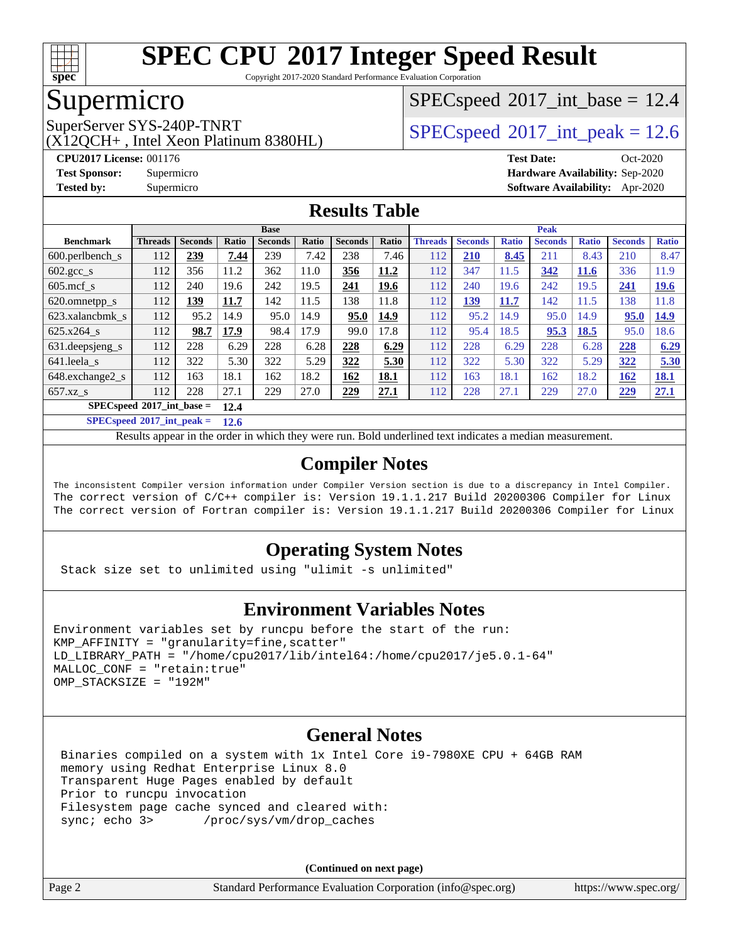

Copyright 2017-2020 Standard Performance Evaluation Corporation

### Supermicro

(X12QCH+ , Intel Xeon Platinum 8380HL)

 $SPECspeed^{\circ}2017\_int\_base = 12.4$  $SPECspeed^{\circ}2017\_int\_base = 12.4$ 

SuperServer SYS-240P-TNRT  $SPPC speed^{\circ}2017$  int peak = 12.6

**[CPU2017 License:](http://www.spec.org/auto/cpu2017/Docs/result-fields.html#CPU2017License)** 001176 **[Test Date:](http://www.spec.org/auto/cpu2017/Docs/result-fields.html#TestDate)** Oct-2020 **[Test Sponsor:](http://www.spec.org/auto/cpu2017/Docs/result-fields.html#TestSponsor)** Supermicro **[Hardware Availability:](http://www.spec.org/auto/cpu2017/Docs/result-fields.html#HardwareAvailability)** Sep-2020 **[Tested by:](http://www.spec.org/auto/cpu2017/Docs/result-fields.html#Testedby)** Supermicro **[Software Availability:](http://www.spec.org/auto/cpu2017/Docs/result-fields.html#SoftwareAvailability)** Apr-2020

#### **[Results Table](http://www.spec.org/auto/cpu2017/Docs/result-fields.html#ResultsTable)**

|                                     | <b>Base</b>    |                |       |                |       |                |       | <b>Peak</b>    |                |              |                |              |                |              |
|-------------------------------------|----------------|----------------|-------|----------------|-------|----------------|-------|----------------|----------------|--------------|----------------|--------------|----------------|--------------|
| <b>Benchmark</b>                    | <b>Threads</b> | <b>Seconds</b> | Ratio | <b>Seconds</b> | Ratio | <b>Seconds</b> | Ratio | <b>Threads</b> | <b>Seconds</b> | <b>Ratio</b> | <b>Seconds</b> | <b>Ratio</b> | <b>Seconds</b> | <b>Ratio</b> |
| 600.perlbench s                     | 112            | 239            | 7.44  | 239            | 7.42  | 238            | 7.46  | 112            | 210            | 8.45         | 211            | 8.43         | 210            | 8.47         |
| $602.\text{gcc}\_\text{s}$          | 112            | 356            | 11.2  | 362            | 11.0  | 356            | 11.2  | 112            | 347            | 11.5         | 342            | <b>11.6</b>  | 336            | 11.9         |
| $605$ .mcf s                        | 112            | 240            | 19.6  | 242            | 19.5  | 241            | 19.6  | 112            | 240            | 19.6         | 242            | 19.5         | 241            | <u>19.6</u>  |
| 620.omnetpp_s                       | 112            | 139            | 11.7  | 142            | 11.5  | 138            | 11.8  | 112            | <u> 139</u>    | 11.7         | 142            | 11.5         | 138            | 11.8         |
| 623.xalancbmk s                     | 112            | 95.2           | 14.9  | 95.0           | 14.9  | 95.0           | 14.9  | 112            | 95.2           | 14.9         | 95.0           | 14.9         | 95.0           | 14.9         |
| 625.x264 s                          | 112            | 98.7           | 17.9  | 98.4           | 17.9  | 99.0           | 17.8  | 112            | 95.4           | 18.5         | 95.3           | 18.5         | 95.0           | 18.6         |
| 631.deepsjeng_s                     | 112            | 228            | 6.29  | 228            | 6.28  | 228            | 6.29  | 112            | 228            | 6.29         | 228            | 6.28         | 228            | 6.29         |
| 641.leela s                         | 112            | 322            | 5.30  | 322            | 5.29  | 322            | 5.30  | 112            | 322            | 5.30         | 322            | 5.29         | 322            | 5.30         |
| 648.exchange2_s                     | 112            | 163            | 18.1  | 162            | 18.2  | 162            | 18.1  | 112            | 163            | 18.1         | 162            | 18.2         | <b>162</b>     | <u>18.1</u>  |
| $657.xz$ s                          | 112            | 228            | 27.1  | 229            | 27.0  | 229            | 27.1  | 112            | 228            | 27.1         | 229            | 27.0         | 229            | 27.1         |
| $SPECspeed*2017$ int base =<br>12.4 |                |                |       |                |       |                |       |                |                |              |                |              |                |              |

**[SPECspeed](http://www.spec.org/auto/cpu2017/Docs/result-fields.html#SPECspeed2017intpeak)[2017\\_int\\_peak =](http://www.spec.org/auto/cpu2017/Docs/result-fields.html#SPECspeed2017intpeak) 12.6**

Results appear in the [order in which they were run.](http://www.spec.org/auto/cpu2017/Docs/result-fields.html#RunOrder) Bold underlined text [indicates a median measurement](http://www.spec.org/auto/cpu2017/Docs/result-fields.html#Median).

#### **[Compiler Notes](http://www.spec.org/auto/cpu2017/Docs/result-fields.html#CompilerNotes)**

The inconsistent Compiler version information under Compiler Version section is due to a discrepancy in Intel Compiler. The correct version of C/C++ compiler is: Version 19.1.1.217 Build 20200306 Compiler for Linux The correct version of Fortran compiler is: Version 19.1.1.217 Build 20200306 Compiler for Linux

#### **[Operating System Notes](http://www.spec.org/auto/cpu2017/Docs/result-fields.html#OperatingSystemNotes)**

Stack size set to unlimited using "ulimit -s unlimited"

#### **[Environment Variables Notes](http://www.spec.org/auto/cpu2017/Docs/result-fields.html#EnvironmentVariablesNotes)**

```
Environment variables set by runcpu before the start of the run:
KMP AFFINITY = "granularity=fine, scatter"
LD_LIBRARY_PATH = "/home/cpu2017/lib/intel64:/home/cpu2017/je5.0.1-64"
MALLOC_CONF = "retain:true"
OMP_STACKSIZE = "192M"
```
#### **[General Notes](http://www.spec.org/auto/cpu2017/Docs/result-fields.html#GeneralNotes)**

 Binaries compiled on a system with 1x Intel Core i9-7980XE CPU + 64GB RAM memory using Redhat Enterprise Linux 8.0 Transparent Huge Pages enabled by default Prior to runcpu invocation Filesystem page cache synced and cleared with:<br>sync: echo 3> /proc/sys/vm/drop\_caches /proc/sys/vm/drop\_caches

**(Continued on next page)**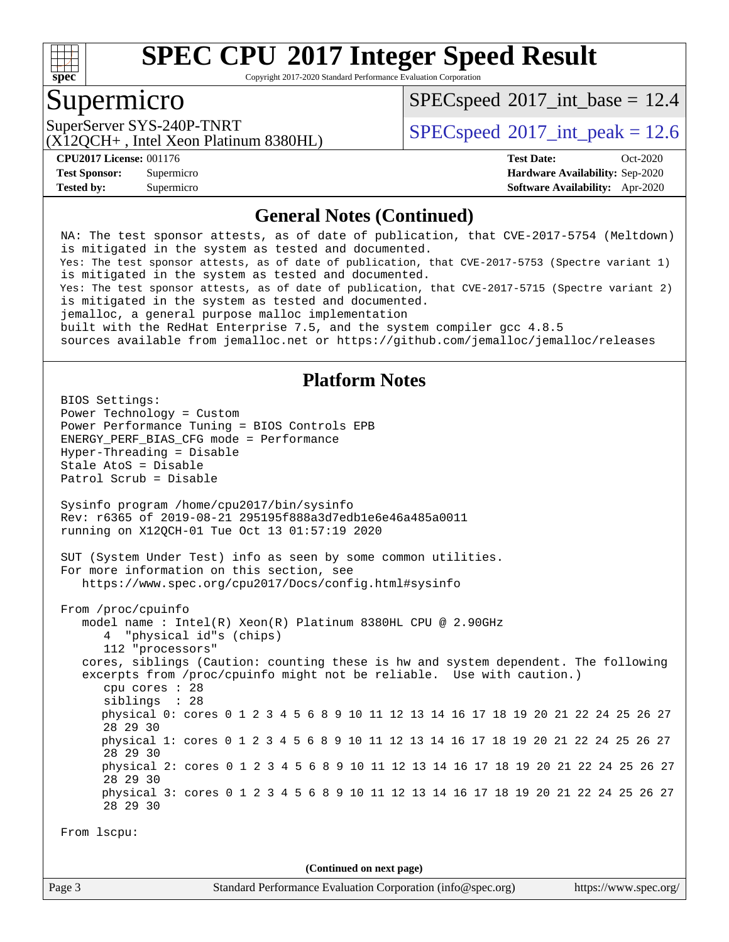

Copyright 2017-2020 Standard Performance Evaluation Corporation

### Supermicro

 $SPECspeed^{\circ}2017\_int\_base = 12.4$  $SPECspeed^{\circ}2017\_int\_base = 12.4$ 

(X12QCH+ , Intel Xeon Platinum 8380HL)

SuperServer SYS-240P-TNRT  $\vert$  [SPECspeed](http://www.spec.org/auto/cpu2017/Docs/result-fields.html#SPECspeed2017intpeak)®[2017\\_int\\_peak = 1](http://www.spec.org/auto/cpu2017/Docs/result-fields.html#SPECspeed2017intpeak)2.6

**[Tested by:](http://www.spec.org/auto/cpu2017/Docs/result-fields.html#Testedby)** Supermicro **[Software Availability:](http://www.spec.org/auto/cpu2017/Docs/result-fields.html#SoftwareAvailability)** Apr-2020

**[CPU2017 License:](http://www.spec.org/auto/cpu2017/Docs/result-fields.html#CPU2017License)** 001176 **[Test Date:](http://www.spec.org/auto/cpu2017/Docs/result-fields.html#TestDate)** Oct-2020 **[Test Sponsor:](http://www.spec.org/auto/cpu2017/Docs/result-fields.html#TestSponsor)** Supermicro **[Hardware Availability:](http://www.spec.org/auto/cpu2017/Docs/result-fields.html#HardwareAvailability)** Sep-2020

#### **[General Notes \(Continued\)](http://www.spec.org/auto/cpu2017/Docs/result-fields.html#GeneralNotes)**

 NA: The test sponsor attests, as of date of publication, that CVE-2017-5754 (Meltdown) is mitigated in the system as tested and documented. Yes: The test sponsor attests, as of date of publication, that CVE-2017-5753 (Spectre variant 1) is mitigated in the system as tested and documented. Yes: The test sponsor attests, as of date of publication, that CVE-2017-5715 (Spectre variant 2) is mitigated in the system as tested and documented. jemalloc, a general purpose malloc implementation built with the RedHat Enterprise 7.5, and the system compiler gcc 4.8.5 sources available from jemalloc.net or<https://github.com/jemalloc/jemalloc/releases> **[Platform Notes](http://www.spec.org/auto/cpu2017/Docs/result-fields.html#PlatformNotes)** BIOS Settings: Power Technology = Custom Power Performance Tuning = BIOS Controls EPB ENERGY\_PERF\_BIAS\_CFG mode = Performance Hyper-Threading = Disable Stale AtoS = Disable Patrol Scrub = Disable Sysinfo program /home/cpu2017/bin/sysinfo Rev: r6365 of 2019-08-21 295195f888a3d7edb1e6e46a485a0011 running on X12QCH-01 Tue Oct 13 01:57:19 2020 SUT (System Under Test) info as seen by some common utilities. For more information on this section, see <https://www.spec.org/cpu2017/Docs/config.html#sysinfo> From /proc/cpuinfo model name : Intel(R) Xeon(R) Platinum 8380HL CPU @ 2.90GHz 4 "physical id"s (chips) 112 "processors" cores, siblings (Caution: counting these is hw and system dependent. The following excerpts from /proc/cpuinfo might not be reliable. Use with caution.) cpu cores : 28 siblings : 28 physical 0: cores 0 1 2 3 4 5 6 8 9 10 11 12 13 14 16 17 18 19 20 21 22 24 25 26 27 28 29 30 physical 1: cores 0 1 2 3 4 5 6 8 9 10 11 12 13 14 16 17 18 19 20 21 22 24 25 26 27 28 29 30 physical 2: cores 0 1 2 3 4 5 6 8 9 10 11 12 13 14 16 17 18 19 20 21 22 24 25 26 27 28 29 30 physical 3: cores 0 1 2 3 4 5 6 8 9 10 11 12 13 14 16 17 18 19 20 21 22 24 25 26 27 28 29 30 From lscpu: **(Continued on next page)**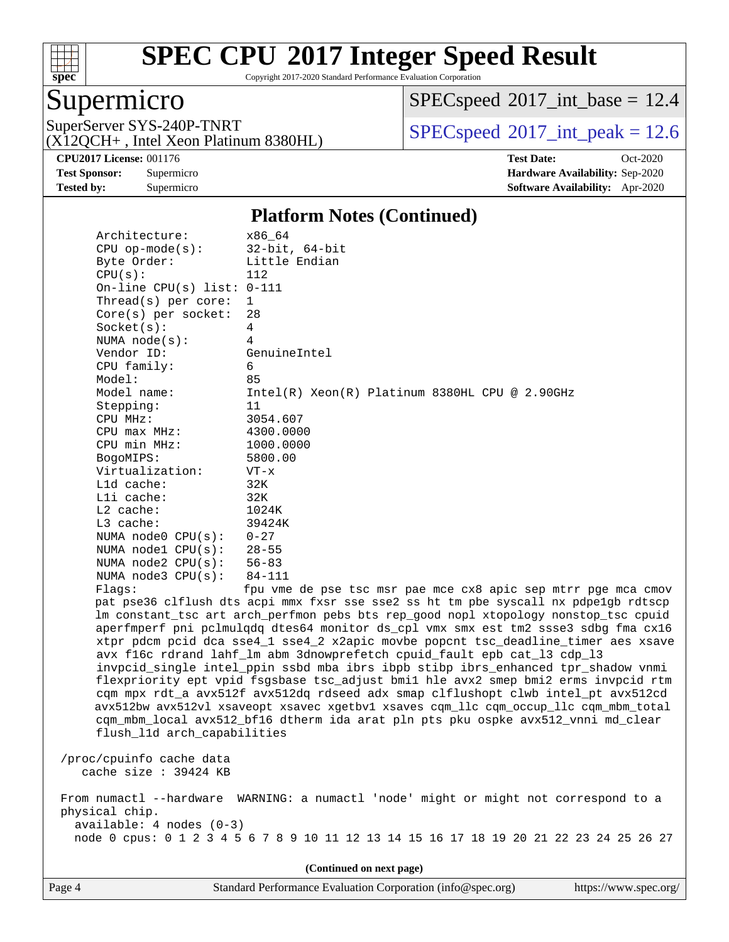

Copyright 2017-2020 Standard Performance Evaluation Corporation

### Supermicro

 $SPEC speed$ <sup>®</sup> $2017$ \_int\_base = 12.4

(X12QCH+ , Intel Xeon Platinum 8380HL)

SuperServer SYS-240P-TNRT  $SPI20CH_{\perp}$  Jatel Yoga Platinum 8380H

**[Tested by:](http://www.spec.org/auto/cpu2017/Docs/result-fields.html#Testedby)** Supermicro **[Software Availability:](http://www.spec.org/auto/cpu2017/Docs/result-fields.html#SoftwareAvailability)** Apr-2020

**[CPU2017 License:](http://www.spec.org/auto/cpu2017/Docs/result-fields.html#CPU2017License)** 001176 **[Test Date:](http://www.spec.org/auto/cpu2017/Docs/result-fields.html#TestDate)** Oct-2020 **[Test Sponsor:](http://www.spec.org/auto/cpu2017/Docs/result-fields.html#TestSponsor)** Supermicro **[Hardware Availability:](http://www.spec.org/auto/cpu2017/Docs/result-fields.html#HardwareAvailability)** Sep-2020

#### **[Platform Notes \(Continued\)](http://www.spec.org/auto/cpu2017/Docs/result-fields.html#PlatformNotes)**

| Architecture:<br>$CPU$ op-mode( $s$ ):         | x86_64<br>$32$ -bit, $64$ -bit                                                         |
|------------------------------------------------|----------------------------------------------------------------------------------------|
| Byte Order:                                    | Little Endian                                                                          |
| CPU(s):                                        | 112                                                                                    |
| On-line CPU(s) list: $0-111$                   |                                                                                        |
| Thread(s) per core:                            | 1                                                                                      |
| $Core(s)$ per socket:                          | 28                                                                                     |
| Socket(s):                                     | $\overline{4}$                                                                         |
| NUMA $node(s)$ :                               | 4                                                                                      |
| Vendor ID:                                     | GenuineIntel                                                                           |
| CPU family:                                    | 6                                                                                      |
| Model:                                         | 85                                                                                     |
| Model name:                                    | Intel(R) Xeon(R) Platinum 8380HL CPU @ 2.90GHz                                         |
| Stepping:                                      | 11                                                                                     |
| CPU MHz:                                       | 3054.607                                                                               |
| CPU max MHz:                                   | 4300.0000                                                                              |
| CPU min MHz:                                   | 1000.0000                                                                              |
| BogoMIPS:                                      | 5800.00                                                                                |
| Virtualization:                                | $VT - x$                                                                               |
| L1d cache:                                     | 32K                                                                                    |
| $L1i$ cache:                                   | 32K                                                                                    |
| L2 cache:                                      | 1024K                                                                                  |
| L3 cache:                                      | 39424K                                                                                 |
| NUMA node0 CPU(s):                             | $0 - 27$<br>$28 - 55$                                                                  |
| NUMA nodel $CPU(s):$<br>NUMA $node2$ $CPU(s):$ | $56 - 83$                                                                              |
| NUMA $node3$ $CPU(s)$ :                        | 84-111                                                                                 |
| Flagg:                                         | fpu vme de pse tsc msr pae mce cx8 apic sep mtrr pge mca cmov                          |
|                                                | pat pse36 clflush dts acpi mmx fxsr sse sse2 ss ht tm pbe syscall nx pdpelgb rdtscp    |
|                                                | lm constant_tsc art arch_perfmon pebs bts rep_good nopl xtopology nonstop_tsc cpuid    |
|                                                | aperfmperf pni pclmulqdq dtes64 monitor ds_cpl vmx smx est tm2 ssse3 sdbg fma cx16     |
|                                                | xtpr pdcm pcid dca sse4_1 sse4_2 x2apic movbe popcnt tsc_deadline_timer aes xsave      |
|                                                | avx f16c rdrand lahf_lm abm 3dnowprefetch cpuid_fault epb cat_13 cdp_13                |
|                                                | invpcid_single intel_ppin ssbd mba ibrs ibpb stibp ibrs_enhanced tpr_shadow vnmi       |
|                                                | flexpriority ept vpid fsgsbase tsc_adjust bmil hle avx2 smep bmi2 erms invpcid rtm     |
|                                                | cqm mpx rdt_a avx512f avx512dq rdseed adx smap clflushopt clwb intel_pt avx512cd       |
|                                                | avx512bw avx512vl xsaveopt xsavec xgetbvl xsaves cqm_llc cqm_occup_llc cqm_mbm_total   |
|                                                | cqm_mbm_local avx512_bf16 dtherm ida arat pln pts pku ospke avx512_vnni md_clear       |
| flush_l1d arch_capabilities                    |                                                                                        |
|                                                |                                                                                        |
| /proc/cpuinfo cache data                       |                                                                                        |
| cache size : 39424 KB                          |                                                                                        |
|                                                | From numactl --hardware WARNING: a numactl 'node' might or might not correspond to a   |
| physical chip.                                 |                                                                                        |
| $available: 4 nodes (0-3)$                     |                                                                                        |
|                                                | node 0 cpus: 0 1 2 3 4 5 6 7 8 9 10 11 12 13 14 15 16 17 18 19 20 21 22 23 24 25 26 27 |
|                                                |                                                                                        |
|                                                | (Continued on next page)                                                               |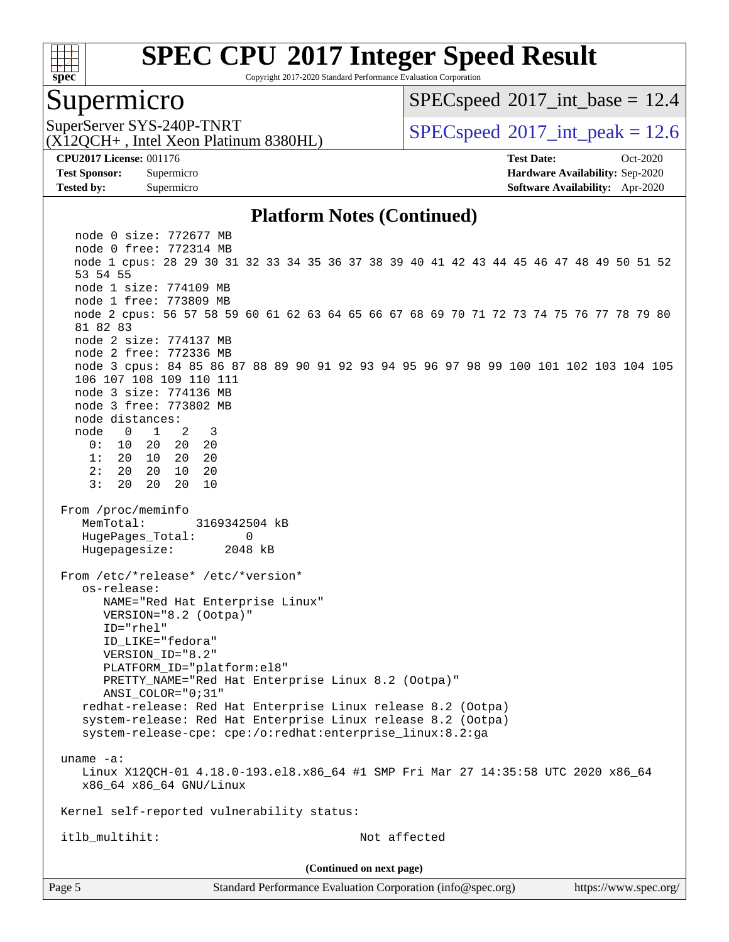

Copyright 2017-2020 Standard Performance Evaluation Corporation

### Supermicro

 $SPECspeed^{\circ}2017\_int\_base = 12.4$  $SPECspeed^{\circ}2017\_int\_base = 12.4$ 

(X12QCH+ , Intel Xeon Platinum 8380HL)

SuperServer SYS-240P-TNRT  $SPPC speed^{\circ}2017$  int peak = 12.6

**[CPU2017 License:](http://www.spec.org/auto/cpu2017/Docs/result-fields.html#CPU2017License)** 001176 **[Test Date:](http://www.spec.org/auto/cpu2017/Docs/result-fields.html#TestDate)** Oct-2020 **[Test Sponsor:](http://www.spec.org/auto/cpu2017/Docs/result-fields.html#TestSponsor)** Supermicro **[Hardware Availability:](http://www.spec.org/auto/cpu2017/Docs/result-fields.html#HardwareAvailability)** Sep-2020 **[Tested by:](http://www.spec.org/auto/cpu2017/Docs/result-fields.html#Testedby)** Supermicro **[Software Availability:](http://www.spec.org/auto/cpu2017/Docs/result-fields.html#SoftwareAvailability)** Apr-2020

#### **[Platform Notes \(Continued\)](http://www.spec.org/auto/cpu2017/Docs/result-fields.html#PlatformNotes)**

Page 5 Standard Performance Evaluation Corporation [\(info@spec.org\)](mailto:info@spec.org) <https://www.spec.org/> node 0 size: 772677 MB node 0 free: 772314 MB node 1 cpus: 28 29 30 31 32 33 34 35 36 37 38 39 40 41 42 43 44 45 46 47 48 49 50 51 52 53 54 55 node 1 size: 774109 MB node 1 free: 773809 MB node 2 cpus: 56 57 58 59 60 61 62 63 64 65 66 67 68 69 70 71 72 73 74 75 76 77 78 79 80 81 82 83 node 2 size: 774137 MB node 2 free: 772336 MB node 3 cpus: 84 85 86 87 88 89 90 91 92 93 94 95 96 97 98 99 100 101 102 103 104 105 106 107 108 109 110 111 node 3 size: 774136 MB node 3 free: 773802 MB node distances: node 0 1 2 3 0: 10 20 20 20 1: 20 10 20 20 2: 20 20 10 20 3: 20 20 20 10 From /proc/meminfo MemTotal: 3169342504 kB HugePages Total: 0 Hugepagesize: 2048 kB From /etc/\*release\* /etc/\*version\* os-release: NAME="Red Hat Enterprise Linux" VERSION="8.2 (Ootpa)" ID="rhel" ID\_LIKE="fedora" VERSION\_ID="8.2" PLATFORM\_ID="platform:el8" PRETTY\_NAME="Red Hat Enterprise Linux 8.2 (Ootpa)" ANSI\_COLOR="0;31" redhat-release: Red Hat Enterprise Linux release 8.2 (Ootpa) system-release: Red Hat Enterprise Linux release 8.2 (Ootpa) system-release-cpe: cpe:/o:redhat:enterprise\_linux:8.2:ga uname -a: Linux X12QCH-01 4.18.0-193.el8.x86\_64 #1 SMP Fri Mar 27 14:35:58 UTC 2020 x86\_64 x86\_64 x86\_64 GNU/Linux Kernel self-reported vulnerability status: itlb\_multihit: Not affected **(Continued on next page)**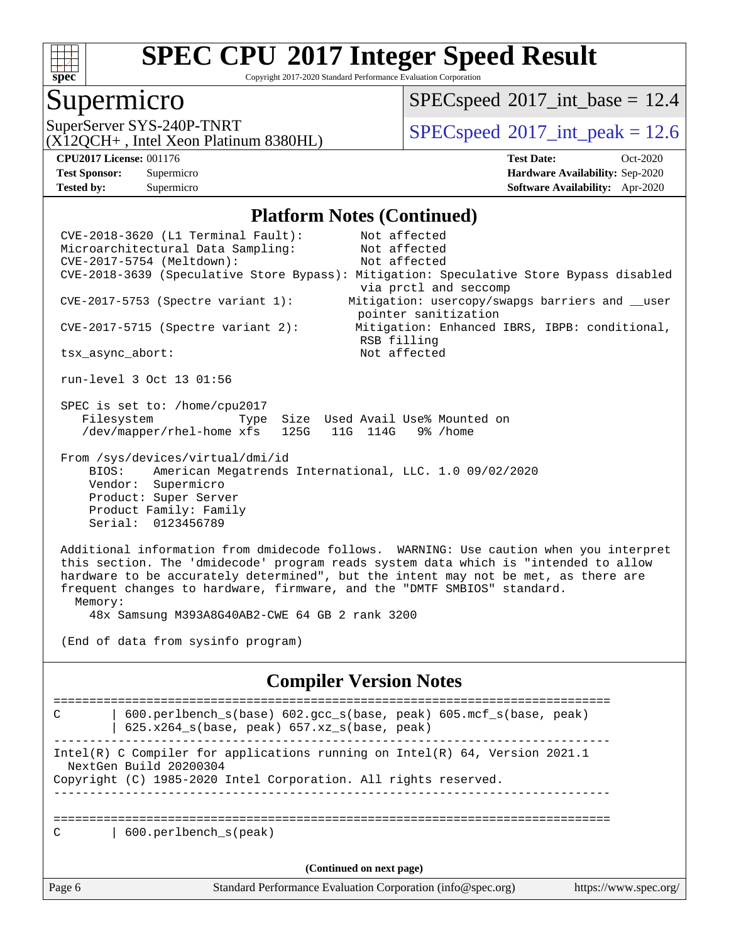

Copyright 2017-2020 Standard Performance Evaluation Corporation

#### Supermicro

 $SPECspeed^{\circ}2017\_int\_base = 12.4$  $SPECspeed^{\circ}2017\_int\_base = 12.4$ 

(X12QCH+ , Intel Xeon Platinum 8380HL)

SuperServer SYS-240P-TNRT  $SUS - 240P$ -TNRT  $SPEC speed^{\circ}2017$ \_int\_peak = 12.6

**[Tested by:](http://www.spec.org/auto/cpu2017/Docs/result-fields.html#Testedby)** Supermicro **[Software Availability:](http://www.spec.org/auto/cpu2017/Docs/result-fields.html#SoftwareAvailability)** Apr-2020

**[CPU2017 License:](http://www.spec.org/auto/cpu2017/Docs/result-fields.html#CPU2017License)** 001176 **[Test Date:](http://www.spec.org/auto/cpu2017/Docs/result-fields.html#TestDate)** Oct-2020 **[Test Sponsor:](http://www.spec.org/auto/cpu2017/Docs/result-fields.html#TestSponsor)** Supermicro **[Hardware Availability:](http://www.spec.org/auto/cpu2017/Docs/result-fields.html#HardwareAvailability)** Sep-2020

#### **[Platform Notes \(Continued\)](http://www.spec.org/auto/cpu2017/Docs/result-fields.html#PlatformNotes)**

 CVE-2018-3620 (L1 Terminal Fault): Not affected Microarchitectural Data Sampling: Not affected CVE-2017-5754 (Meltdown): Not affected CVE-2018-3639 (Speculative Store Bypass): Mitigation: Speculative Store Bypass disabled via prctl and seccomp CVE-2017-5753 (Spectre variant 1): Mitigation: usercopy/swapgs barriers and \_\_user pointer sanitization CVE-2017-5715 (Spectre variant 2): Mitigation: Enhanced IBRS, IBPB: conditional, RSB filling tsx\_async\_abort: Not affected run-level 3 Oct 13 01:56 SPEC is set to: /home/cpu2017 Filesystem Type Size Used Avail Use% Mounted on /dev/mapper/rhel-home xfs 125G 11G 114G 9% /home From /sys/devices/virtual/dmi/id BIOS: American Megatrends International, LLC. 1.0 09/02/2020 Vendor: Supermicro Product: Super Server Product Family: Family Serial: 0123456789 Additional information from dmidecode follows. WARNING: Use caution when you interpret this section. The 'dmidecode' program reads system data which is "intended to allow hardware to be accurately determined", but the intent may not be met, as there are frequent changes to hardware, firmware, and the "DMTF SMBIOS" standard. Memory: 48x Samsung M393A8G40AB2-CWE 64 GB 2 rank 3200 (End of data from sysinfo program) **[Compiler Version Notes](http://www.spec.org/auto/cpu2017/Docs/result-fields.html#CompilerVersionNotes)** ============================================================================== C | 600.perlbench\_s(base) 602.gcc\_s(base, peak) 605.mcf\_s(base, peak) | 625.x264\_s(base, peak) 657.xz\_s(base, peak) ------------------------------------------------------------------------------ Intel(R) C Compiler for applications running on Intel(R) 64, Version 2021.1 NextGen Build 20200304 Copyright (C) 1985-2020 Intel Corporation. All rights reserved. ------------------------------------------------------------------------------ ============================================================================== C | 600.perlbench s(peak) **(Continued on next page)**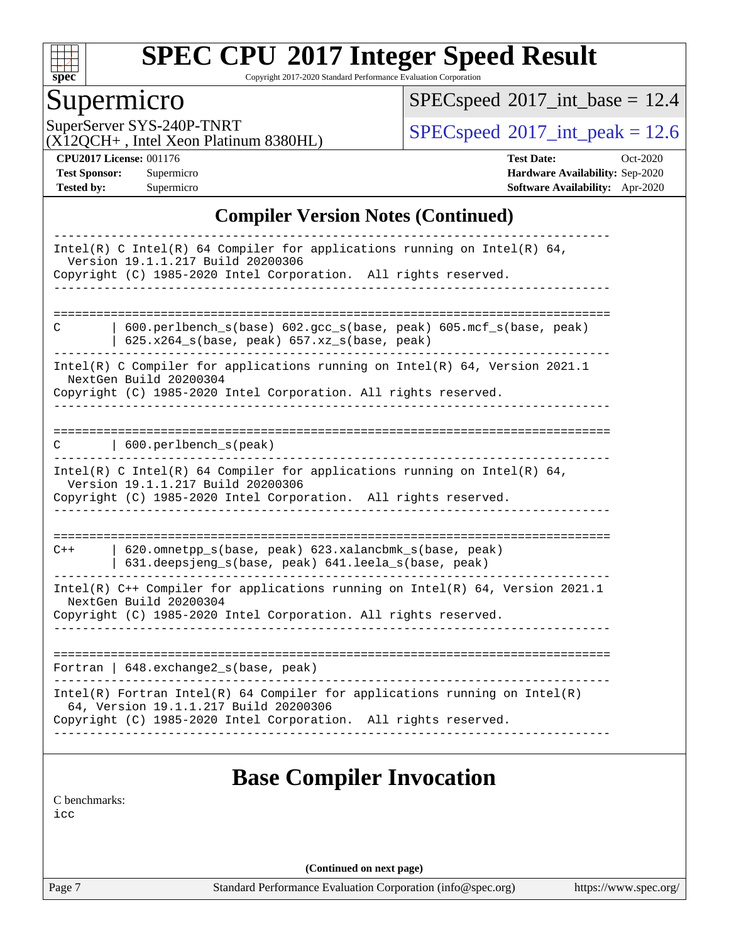

Copyright 2017-2020 Standard Performance Evaluation Corporation

### Supermicro

 $SPEC speed$ <sup>®</sup> $2017$ \_int\_base = 12.4

(X12QCH+ , Intel Xeon Platinum 8380HL)

SuperServer SYS-240P-TNRT  $SPI20CH_{\perp}$  Jatel Yoga Platinum 8380H

**[CPU2017 License:](http://www.spec.org/auto/cpu2017/Docs/result-fields.html#CPU2017License)** 001176 **[Test Date:](http://www.spec.org/auto/cpu2017/Docs/result-fields.html#TestDate)** Oct-2020 **[Test Sponsor:](http://www.spec.org/auto/cpu2017/Docs/result-fields.html#TestSponsor)** Supermicro **[Hardware Availability:](http://www.spec.org/auto/cpu2017/Docs/result-fields.html#HardwareAvailability)** Sep-2020 **[Tested by:](http://www.spec.org/auto/cpu2017/Docs/result-fields.html#Testedby)** Supermicro **[Software Availability:](http://www.spec.org/auto/cpu2017/Docs/result-fields.html#SoftwareAvailability)** Apr-2020

#### **[Compiler Version Notes \(Continued\)](http://www.spec.org/auto/cpu2017/Docs/result-fields.html#CompilerVersionNotes)**

|               | Intel(R) C Intel(R) 64 Compiler for applications running on Intel(R) 64,<br>Version 19.1.1.217 Build 20200306<br>Copyright (C) 1985-2020 Intel Corporation. All rights reserved. |
|---------------|----------------------------------------------------------------------------------------------------------------------------------------------------------------------------------|
|               |                                                                                                                                                                                  |
|               |                                                                                                                                                                                  |
| С             | 600.perlbench_s(base) 602.gcc_s(base, peak) 605.mcf_s(base, peak)                                                                                                                |
|               | $625.x264_s(base, peak) 657.xz_s(base, peak)$                                                                                                                                    |
|               | Intel(R) C Compiler for applications running on Intel(R) $64$ , Version 2021.1                                                                                                   |
|               | NextGen Build 20200304                                                                                                                                                           |
|               | Copyright (C) 1985-2020 Intel Corporation. All rights reserved.                                                                                                                  |
|               |                                                                                                                                                                                  |
|               |                                                                                                                                                                                  |
| C.            | 600.perlbench_s(peak)                                                                                                                                                            |
|               | Intel(R) C Intel(R) 64 Compiler for applications running on Intel(R) 64,                                                                                                         |
|               | Version 19.1.1.217 Build 20200306                                                                                                                                                |
|               | Copyright (C) 1985-2020 Intel Corporation. All rights reserved.                                                                                                                  |
|               |                                                                                                                                                                                  |
| $C++$         | 620.omnetpp_s(base, peak) 623.xalancbmk_s(base, peak)                                                                                                                            |
|               | 631.deepsjeng_s(base, peak) 641.leela_s(base, peak)                                                                                                                              |
|               | Intel(R) C++ Compiler for applications running on Intel(R) 64, Version 2021.1                                                                                                    |
|               | NextGen Build 20200304                                                                                                                                                           |
|               | Copyright (C) 1985-2020 Intel Corporation. All rights reserved.                                                                                                                  |
|               |                                                                                                                                                                                  |
|               |                                                                                                                                                                                  |
|               | Fortran   648. exchange2_s(base, peak)                                                                                                                                           |
|               | $Intel(R)$ Fortran Intel(R) 64 Compiler for applications running on Intel(R)                                                                                                     |
|               | 64, Version 19.1.1.217 Build 20200306                                                                                                                                            |
|               | Copyright (C) 1985-2020 Intel Corporation. All rights reserved.                                                                                                                  |
|               |                                                                                                                                                                                  |
|               |                                                                                                                                                                                  |
|               | <b>Base Compiler Invocation</b>                                                                                                                                                  |
| C benchmarks: |                                                                                                                                                                                  |
| icc           |                                                                                                                                                                                  |
|               |                                                                                                                                                                                  |
|               |                                                                                                                                                                                  |

**(Continued on next page)**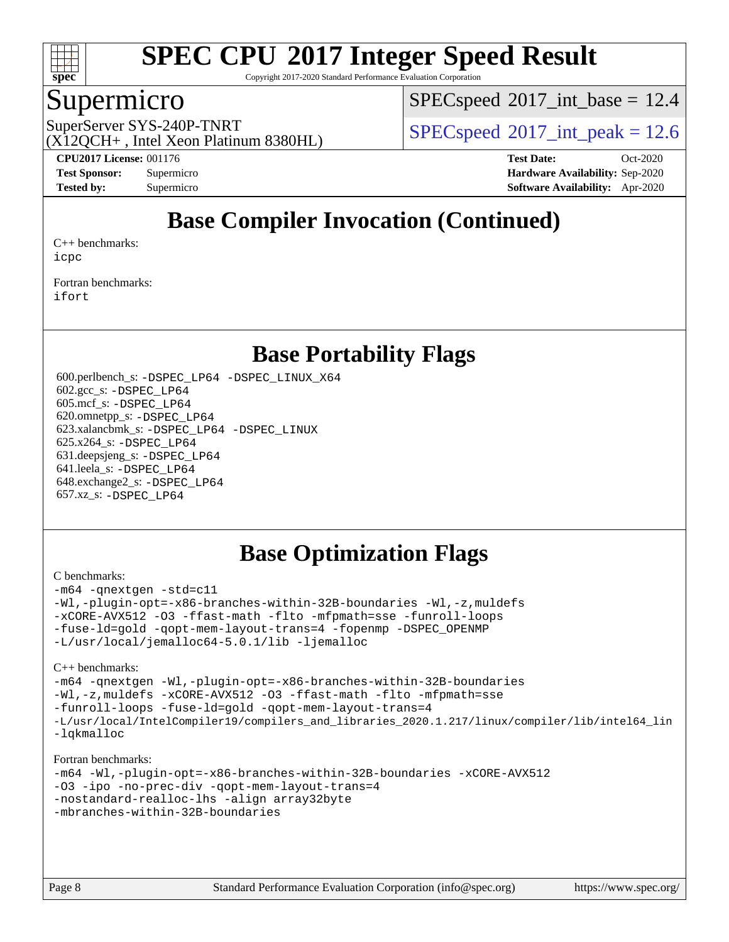

Copyright 2017-2020 Standard Performance Evaluation Corporation

### Supermicro

 $SPECspeed^{\circ}2017\_int\_base = 12.4$  $SPECspeed^{\circ}2017\_int\_base = 12.4$ 

(X12QCH+ , Intel Xeon Platinum 8380HL)

SuperServer SYS-240P-TNRT  $SPPC speed^{\circ}2017$  int peak = 12.6

**[CPU2017 License:](http://www.spec.org/auto/cpu2017/Docs/result-fields.html#CPU2017License)** 001176 **[Test Date:](http://www.spec.org/auto/cpu2017/Docs/result-fields.html#TestDate)** Oct-2020 **[Test Sponsor:](http://www.spec.org/auto/cpu2017/Docs/result-fields.html#TestSponsor)** Supermicro **[Hardware Availability:](http://www.spec.org/auto/cpu2017/Docs/result-fields.html#HardwareAvailability)** Sep-2020 **[Tested by:](http://www.spec.org/auto/cpu2017/Docs/result-fields.html#Testedby)** Supermicro **[Software Availability:](http://www.spec.org/auto/cpu2017/Docs/result-fields.html#SoftwareAvailability)** Apr-2020

## **[Base Compiler Invocation \(Continued\)](http://www.spec.org/auto/cpu2017/Docs/result-fields.html#BaseCompilerInvocation)**

[C++ benchmarks:](http://www.spec.org/auto/cpu2017/Docs/result-fields.html#CXXbenchmarks) [icpc](http://www.spec.org/cpu2017/results/res2020q4/cpu2017-20201012-24187.flags.html#user_CXXbase_intel_icpc_c510b6838c7f56d33e37e94d029a35b4a7bccf4766a728ee175e80a419847e808290a9b78be685c44ab727ea267ec2f070ec5dc83b407c0218cded6866a35d07)

[Fortran benchmarks](http://www.spec.org/auto/cpu2017/Docs/result-fields.html#Fortranbenchmarks): [ifort](http://www.spec.org/cpu2017/results/res2020q4/cpu2017-20201012-24187.flags.html#user_FCbase_intel_ifort_8111460550e3ca792625aed983ce982f94888b8b503583aa7ba2b8303487b4d8a21a13e7191a45c5fd58ff318f48f9492884d4413fa793fd88dd292cad7027ca)

### **[Base Portability Flags](http://www.spec.org/auto/cpu2017/Docs/result-fields.html#BasePortabilityFlags)**

 600.perlbench\_s: [-DSPEC\\_LP64](http://www.spec.org/cpu2017/results/res2020q4/cpu2017-20201012-24187.flags.html#b600.perlbench_s_basePORTABILITY_DSPEC_LP64) [-DSPEC\\_LINUX\\_X64](http://www.spec.org/cpu2017/results/res2020q4/cpu2017-20201012-24187.flags.html#b600.perlbench_s_baseCPORTABILITY_DSPEC_LINUX_X64) 602.gcc\_s: [-DSPEC\\_LP64](http://www.spec.org/cpu2017/results/res2020q4/cpu2017-20201012-24187.flags.html#suite_basePORTABILITY602_gcc_s_DSPEC_LP64) 605.mcf\_s: [-DSPEC\\_LP64](http://www.spec.org/cpu2017/results/res2020q4/cpu2017-20201012-24187.flags.html#suite_basePORTABILITY605_mcf_s_DSPEC_LP64) 620.omnetpp\_s: [-DSPEC\\_LP64](http://www.spec.org/cpu2017/results/res2020q4/cpu2017-20201012-24187.flags.html#suite_basePORTABILITY620_omnetpp_s_DSPEC_LP64) 623.xalancbmk\_s: [-DSPEC\\_LP64](http://www.spec.org/cpu2017/results/res2020q4/cpu2017-20201012-24187.flags.html#suite_basePORTABILITY623_xalancbmk_s_DSPEC_LP64) [-DSPEC\\_LINUX](http://www.spec.org/cpu2017/results/res2020q4/cpu2017-20201012-24187.flags.html#b623.xalancbmk_s_baseCXXPORTABILITY_DSPEC_LINUX) 625.x264\_s: [-DSPEC\\_LP64](http://www.spec.org/cpu2017/results/res2020q4/cpu2017-20201012-24187.flags.html#suite_basePORTABILITY625_x264_s_DSPEC_LP64) 631.deepsjeng\_s: [-DSPEC\\_LP64](http://www.spec.org/cpu2017/results/res2020q4/cpu2017-20201012-24187.flags.html#suite_basePORTABILITY631_deepsjeng_s_DSPEC_LP64) 641.leela\_s: [-DSPEC\\_LP64](http://www.spec.org/cpu2017/results/res2020q4/cpu2017-20201012-24187.flags.html#suite_basePORTABILITY641_leela_s_DSPEC_LP64) 648.exchange2\_s: [-DSPEC\\_LP64](http://www.spec.org/cpu2017/results/res2020q4/cpu2017-20201012-24187.flags.html#suite_basePORTABILITY648_exchange2_s_DSPEC_LP64) 657.xz\_s: [-DSPEC\\_LP64](http://www.spec.org/cpu2017/results/res2020q4/cpu2017-20201012-24187.flags.html#suite_basePORTABILITY657_xz_s_DSPEC_LP64)

### **[Base Optimization Flags](http://www.spec.org/auto/cpu2017/Docs/result-fields.html#BaseOptimizationFlags)**

#### [C benchmarks](http://www.spec.org/auto/cpu2017/Docs/result-fields.html#Cbenchmarks):

[-m64](http://www.spec.org/cpu2017/results/res2020q4/cpu2017-20201012-24187.flags.html#user_CCbase_m64-icc) [-qnextgen](http://www.spec.org/cpu2017/results/res2020q4/cpu2017-20201012-24187.flags.html#user_CCbase_f-qnextgen) [-std=c11](http://www.spec.org/cpu2017/results/res2020q4/cpu2017-20201012-24187.flags.html#user_CCbase_std-icc-std_0e1c27790398a4642dfca32ffe6c27b5796f9c2d2676156f2e42c9c44eaad0c049b1cdb667a270c34d979996257aeb8fc440bfb01818dbc9357bd9d174cb8524) [-Wl,-plugin-opt=-x86-branches-within-32B-boundaries](http://www.spec.org/cpu2017/results/res2020q4/cpu2017-20201012-24187.flags.html#user_CCbase_f-x86-branches-within-32B-boundaries_0098b4e4317ae60947b7b728078a624952a08ac37a3c797dfb4ffeb399e0c61a9dd0f2f44ce917e9361fb9076ccb15e7824594512dd315205382d84209e912f3) [-Wl,-z,muldefs](http://www.spec.org/cpu2017/results/res2020q4/cpu2017-20201012-24187.flags.html#user_CCbase_link_force_multiple1_b4cbdb97b34bdee9ceefcfe54f4c8ea74255f0b02a4b23e853cdb0e18eb4525ac79b5a88067c842dd0ee6996c24547a27a4b99331201badda8798ef8a743f577) [-xCORE-AVX512](http://www.spec.org/cpu2017/results/res2020q4/cpu2017-20201012-24187.flags.html#user_CCbase_f-xCORE-AVX512) [-O3](http://www.spec.org/cpu2017/results/res2020q4/cpu2017-20201012-24187.flags.html#user_CCbase_f-O3) [-ffast-math](http://www.spec.org/cpu2017/results/res2020q4/cpu2017-20201012-24187.flags.html#user_CCbase_f-ffast-math) [-flto](http://www.spec.org/cpu2017/results/res2020q4/cpu2017-20201012-24187.flags.html#user_CCbase_f-flto) [-mfpmath=sse](http://www.spec.org/cpu2017/results/res2020q4/cpu2017-20201012-24187.flags.html#user_CCbase_f-mfpmath_70eb8fac26bde974f8ab713bc9086c5621c0b8d2f6c86f38af0bd7062540daf19db5f3a066d8c6684be05d84c9b6322eb3b5be6619d967835195b93d6c02afa1) [-funroll-loops](http://www.spec.org/cpu2017/results/res2020q4/cpu2017-20201012-24187.flags.html#user_CCbase_f-funroll-loops) [-fuse-ld=gold](http://www.spec.org/cpu2017/results/res2020q4/cpu2017-20201012-24187.flags.html#user_CCbase_f-fuse-ld_920b3586e2b8c6e0748b9c84fa9b744736ba725a32cab14ad8f3d4ad28eecb2f59d1144823d2e17006539a88734fe1fc08fc3035f7676166309105a78aaabc32) [-qopt-mem-layout-trans=4](http://www.spec.org/cpu2017/results/res2020q4/cpu2017-20201012-24187.flags.html#user_CCbase_f-qopt-mem-layout-trans_fa39e755916c150a61361b7846f310bcdf6f04e385ef281cadf3647acec3f0ae266d1a1d22d972a7087a248fd4e6ca390a3634700869573d231a252c784941a8) [-fopenmp](http://www.spec.org/cpu2017/results/res2020q4/cpu2017-20201012-24187.flags.html#user_CCbase_fopenmp_5aa2e47ce4f2ef030ba5d12d5a7a9c4e57167333d78243fcadb80b48d5abb78ff19333f8478e0b2a41e63049eb285965c145ccab7b93db7d0c4d59e4dc6f5591) [-DSPEC\\_OPENMP](http://www.spec.org/cpu2017/results/res2020q4/cpu2017-20201012-24187.flags.html#suite_CCbase_DSPEC_OPENMP) [-L/usr/local/jemalloc64-5.0.1/lib](http://www.spec.org/cpu2017/results/res2020q4/cpu2017-20201012-24187.flags.html#user_CCbase_jemalloc_link_path64_1_cc289568b1a6c0fd3b62c91b824c27fcb5af5e8098e6ad028160d21144ef1b8aef3170d2acf0bee98a8da324cfe4f67d0a3d0c4cc4673d993d694dc2a0df248b) [-ljemalloc](http://www.spec.org/cpu2017/results/res2020q4/cpu2017-20201012-24187.flags.html#user_CCbase_jemalloc_link_lib_d1249b907c500fa1c0672f44f562e3d0f79738ae9e3c4a9c376d49f265a04b9c99b167ecedbf6711b3085be911c67ff61f150a17b3472be731631ba4d0471706)

#### [C++ benchmarks:](http://www.spec.org/auto/cpu2017/Docs/result-fields.html#CXXbenchmarks)

```
-m64 -qnextgen -Wl,-plugin-opt=-x86-branches-within-32B-boundaries
-Wl,-z,muldefs -xCORE-AVX512 -O3 -ffast-math -flto -mfpmath=sse
-funroll-loops -fuse-ld=gold -qopt-mem-layout-trans=4
-L/usr/local/IntelCompiler19/compilers_and_libraries_2020.1.217/linux/compiler/lib/intel64_lin
-lqkmalloc
```
#### [Fortran benchmarks:](http://www.spec.org/auto/cpu2017/Docs/result-fields.html#Fortranbenchmarks)

```
-m64 -Wl,-plugin-opt=-x86-branches-within-32B-boundaries -xCORE-AVX512
-O3 -ipo -no-prec-div -qopt-mem-layout-trans=4
-nostandard-realloc-lhs -align array32byte
-mbranches-within-32B-boundaries
```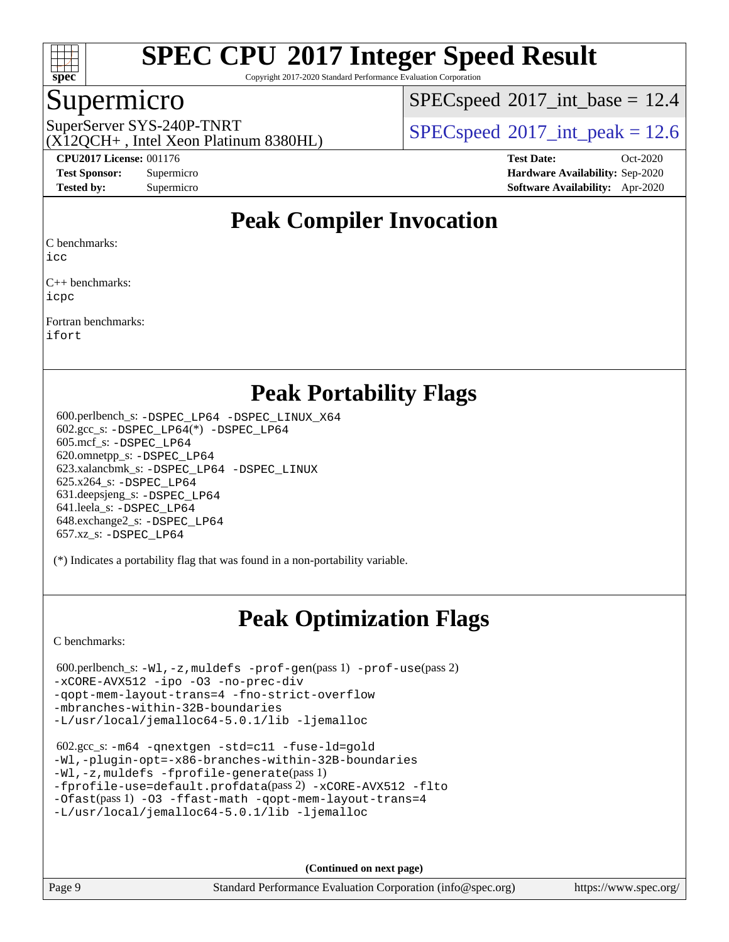

Copyright 2017-2020 Standard Performance Evaluation Corporation

### Supermicro

 $SPECspeed^{\circ}2017\_int\_base = 12.4$  $SPECspeed^{\circ}2017\_int\_base = 12.4$ 

(X12QCH+ , Intel Xeon Platinum 8380HL)

SuperServer SYS-240P-TNRT  $SUS - 240P$ -TNRT  $SPEC speed^{\circ}2017$  int peak = 12.6

**[CPU2017 License:](http://www.spec.org/auto/cpu2017/Docs/result-fields.html#CPU2017License)** 001176 **[Test Date:](http://www.spec.org/auto/cpu2017/Docs/result-fields.html#TestDate)** Oct-2020 **[Test Sponsor:](http://www.spec.org/auto/cpu2017/Docs/result-fields.html#TestSponsor)** Supermicro **[Hardware Availability:](http://www.spec.org/auto/cpu2017/Docs/result-fields.html#HardwareAvailability)** Sep-2020 **[Tested by:](http://www.spec.org/auto/cpu2017/Docs/result-fields.html#Testedby)** Supermicro **[Software Availability:](http://www.spec.org/auto/cpu2017/Docs/result-fields.html#SoftwareAvailability)** Apr-2020

## **[Peak Compiler Invocation](http://www.spec.org/auto/cpu2017/Docs/result-fields.html#PeakCompilerInvocation)**

[C benchmarks](http://www.spec.org/auto/cpu2017/Docs/result-fields.html#Cbenchmarks):

[icc](http://www.spec.org/cpu2017/results/res2020q4/cpu2017-20201012-24187.flags.html#user_CCpeak_intel_icc_66fc1ee009f7361af1fbd72ca7dcefbb700085f36577c54f309893dd4ec40d12360134090235512931783d35fd58c0460139e722d5067c5574d8eaf2b3e37e92)

[C++ benchmarks](http://www.spec.org/auto/cpu2017/Docs/result-fields.html#CXXbenchmarks): [icpc](http://www.spec.org/cpu2017/results/res2020q4/cpu2017-20201012-24187.flags.html#user_CXXpeak_intel_icpc_c510b6838c7f56d33e37e94d029a35b4a7bccf4766a728ee175e80a419847e808290a9b78be685c44ab727ea267ec2f070ec5dc83b407c0218cded6866a35d07)

[Fortran benchmarks:](http://www.spec.org/auto/cpu2017/Docs/result-fields.html#Fortranbenchmarks) [ifort](http://www.spec.org/cpu2017/results/res2020q4/cpu2017-20201012-24187.flags.html#user_FCpeak_intel_ifort_8111460550e3ca792625aed983ce982f94888b8b503583aa7ba2b8303487b4d8a21a13e7191a45c5fd58ff318f48f9492884d4413fa793fd88dd292cad7027ca)

### **[Peak Portability Flags](http://www.spec.org/auto/cpu2017/Docs/result-fields.html#PeakPortabilityFlags)**

 600.perlbench\_s: [-DSPEC\\_LP64](http://www.spec.org/cpu2017/results/res2020q4/cpu2017-20201012-24187.flags.html#b600.perlbench_s_peakPORTABILITY_DSPEC_LP64) [-DSPEC\\_LINUX\\_X64](http://www.spec.org/cpu2017/results/res2020q4/cpu2017-20201012-24187.flags.html#b600.perlbench_s_peakCPORTABILITY_DSPEC_LINUX_X64) 602.gcc\_s: [-DSPEC\\_LP64](http://www.spec.org/cpu2017/results/res2020q4/cpu2017-20201012-24187.flags.html#suite_peakCCLD602_gcc_s_DSPEC_LP64)(\*) [-DSPEC\\_LP64](http://www.spec.org/cpu2017/results/res2020q4/cpu2017-20201012-24187.flags.html#suite_peakPORTABILITY602_gcc_s_DSPEC_LP64) 605.mcf\_s: [-DSPEC\\_LP64](http://www.spec.org/cpu2017/results/res2020q4/cpu2017-20201012-24187.flags.html#suite_peakPORTABILITY605_mcf_s_DSPEC_LP64) 620.omnetpp\_s: [-DSPEC\\_LP64](http://www.spec.org/cpu2017/results/res2020q4/cpu2017-20201012-24187.flags.html#suite_peakPORTABILITY620_omnetpp_s_DSPEC_LP64) 623.xalancbmk\_s: [-DSPEC\\_LP64](http://www.spec.org/cpu2017/results/res2020q4/cpu2017-20201012-24187.flags.html#suite_peakPORTABILITY623_xalancbmk_s_DSPEC_LP64) [-DSPEC\\_LINUX](http://www.spec.org/cpu2017/results/res2020q4/cpu2017-20201012-24187.flags.html#b623.xalancbmk_s_peakCXXPORTABILITY_DSPEC_LINUX) 625.x264\_s: [-DSPEC\\_LP64](http://www.spec.org/cpu2017/results/res2020q4/cpu2017-20201012-24187.flags.html#suite_peakPORTABILITY625_x264_s_DSPEC_LP64) 631.deepsjeng\_s: [-DSPEC\\_LP64](http://www.spec.org/cpu2017/results/res2020q4/cpu2017-20201012-24187.flags.html#suite_peakPORTABILITY631_deepsjeng_s_DSPEC_LP64) 641.leela\_s: [-DSPEC\\_LP64](http://www.spec.org/cpu2017/results/res2020q4/cpu2017-20201012-24187.flags.html#suite_peakPORTABILITY641_leela_s_DSPEC_LP64) 648.exchange2\_s: [-DSPEC\\_LP64](http://www.spec.org/cpu2017/results/res2020q4/cpu2017-20201012-24187.flags.html#suite_peakPORTABILITY648_exchange2_s_DSPEC_LP64) 657.xz\_s: [-DSPEC\\_LP64](http://www.spec.org/cpu2017/results/res2020q4/cpu2017-20201012-24187.flags.html#suite_peakPORTABILITY657_xz_s_DSPEC_LP64)

(\*) Indicates a portability flag that was found in a non-portability variable.

# **[Peak Optimization Flags](http://www.spec.org/auto/cpu2017/Docs/result-fields.html#PeakOptimizationFlags)**

[C benchmarks](http://www.spec.org/auto/cpu2017/Docs/result-fields.html#Cbenchmarks):

```
 600.perlbench_s: -Wl,-z,muldefs -prof-gen(pass 1) -prof-use(pass 2)
-xCORE-AVX512 -ipo -O3 -no-prec-div
-qopt-mem-layout-trans=4 -fno-strict-overflow
-mbranches-within-32B-boundaries
-L/usr/local/jemalloc64-5.0.1/lib -ljemalloc
```

```
 602.gcc_s: -m64 -qnextgen -std=c11 -fuse-ld=gold
-Wl,-plugin-opt=-x86-branches-within-32B-boundaries
-Wl,-z,muldefs -fprofile-generate(pass 1)
-fprofile-use=default.profdata(pass 2) -xCORE-AVX512 -flto
-Ofast(pass 1) -O3 -ffast-math -qopt-mem-layout-trans=4
-L/usr/local/jemalloc64-5.0.1/lib -ljemalloc
```
**(Continued on next page)**